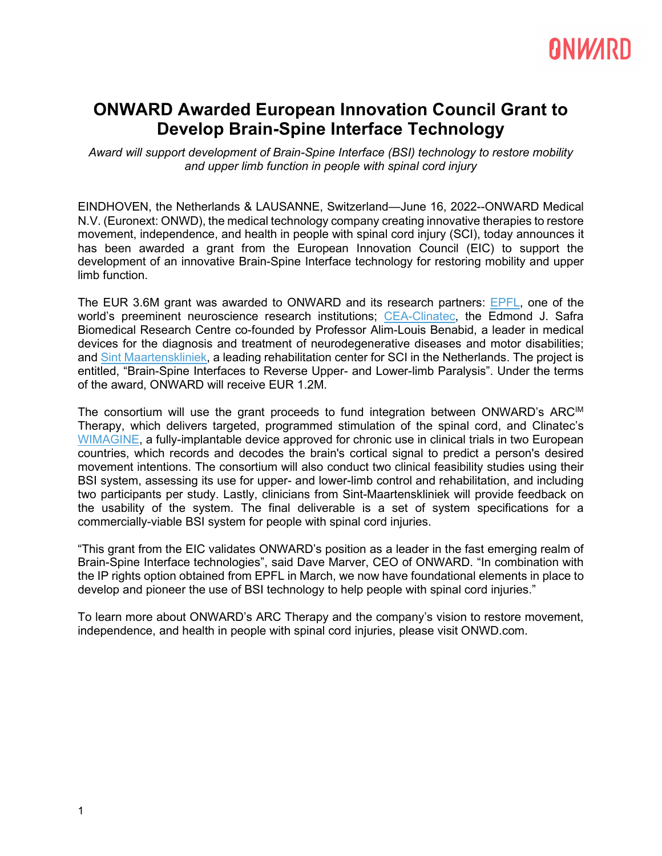# RNWARD

### **ONWARD Awarded European Innovation Council Grant to Develop Brain-Spine Interface Technology**

*Award will support development of Brain-Spine Interface (BSI) technology to restore mobility and upper limb function in people with spinal cord injury*

EINDHOVEN, the Netherlands & LAUSANNE, Switzerland—June 16, 2022--ONWARD Medical N.V. (Euronext: ONWD), the medical technology company creating innovative therapies to restore movement, independence, and health in people with spinal cord injury (SCI), today announces it has been awarded a grant from the European Innovation Council (EIC) to support the development of an innovative Brain-Spine Interface technology for restoring mobility and upper limb function.

The EUR 3.6M grant was awarded to ONWARD and its research partners: **EPFL**, one of the world's preeminent neuroscience research institutions; [CEA-Clinatec,](https://www.leti-cea.com/cea-tech/leti/english/Pages/Applied-Research/Facilities/CLINATEC-plateform.aspx) the Edmond J. Safra Biomedical Research Centre co-founded by Professor Alim-Louis Benabid, a leader in medical devices for the diagnosis and treatment of neurodegenerative diseases and motor disabilities; and Sint [Maartenskliniek,](https://www.maartenskliniek.nl/) a leading rehabilitation center for SCI in the Netherlands. The project is entitled, "Brain-Spine Interfaces to Reverse Upper- and Lower-limb Paralysis". Under the terms of the award, ONWARD will receive EUR 1.2M.

The consortium will use the grant proceeds to fund integration between ONWARD's ARC<sup>IM</sup> Therapy, which delivers targeted, programmed stimulation of the spinal cord, and Clinatec's [WIMAGINE,](https://pubmed.ncbi.nlm.nih.gov/25014960/) a fully-implantable device approved for chronic use in clinical trials in two European countries, which records and decodes the brain's cortical signal to predict a person's desired movement intentions. The consortium will also conduct two clinical feasibility studies using their BSI system, assessing its use for upper- and lower-limb control and rehabilitation, and including two participants per study. Lastly, clinicians from Sint-Maartenskliniek will provide feedback on the usability of the system. The final deliverable is a set of system specifications for a commercially-viable BSI system for people with spinal cord injuries.

"This grant from the EIC validates ONWARD's position as a leader in the fast emerging realm of Brain-Spine Interface technologies", said Dave Marver, CEO of ONWARD. "In combination with the IP rights option obtained from EPFL in March, we now have foundational elements in place to develop and pioneer the use of BSI technology to help people with spinal cord injuries."

To learn more about ONWARD's ARC Therapy and the company's vision to restore movement, independence, and health in people with spinal cord injuries, please visit [ONWD.com.](https://cts.businesswire.com/ct/CT?id=smartlink&url=https%3A%2F%2Fonwd.com&esheet=52360086&newsitemid=20210112005241&lan=en-US&anchor=ONWD.com&index=2&md5=73553992721d026cf9abe5711ee81b73)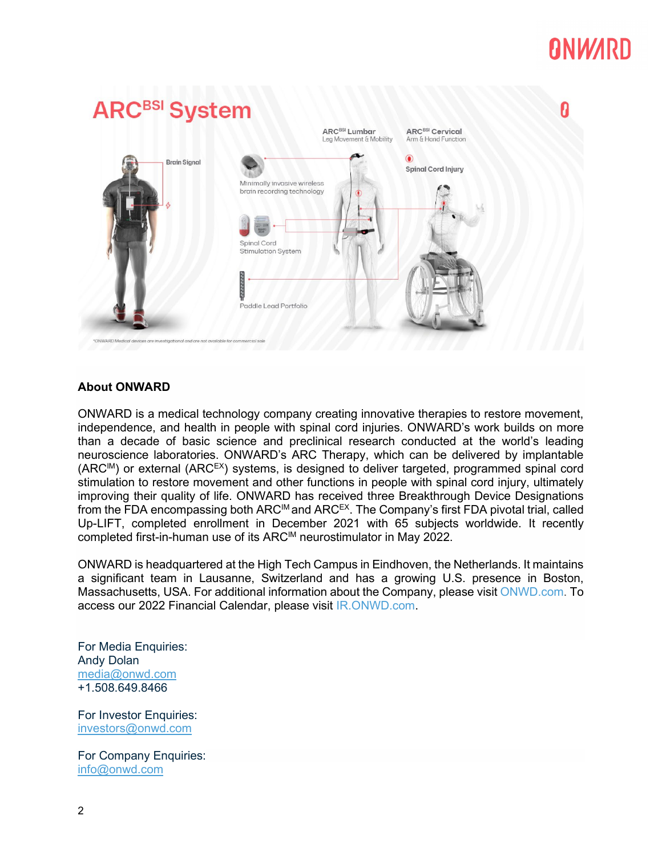# **ANWARD**



#### **About ONWARD**

ONWARD is a medical technology company creating innovative therapies to restore movement, independence, and health in people with spinal cord injuries. ONWARD's work builds on more than a decade of basic science and preclinical research conducted at the world's leading neuroscience laboratories. ONWARD's ARC Therapy, which can be delivered by implantable (ARC<sup>IM</sup>) or external (ARC<sup>EX</sup>) systems, is designed to deliver targeted, programmed spinal cord stimulation to restore movement and other functions in people with spinal cord injury, ultimately improving their quality of life. ONWARD has received three Breakthrough Device Designations from the FDA encompassing both ARC<sup>IM</sup> and ARC<sup>EX</sup>. The Company's first FDA pivotal trial, called Up-LIFT, completed enrollment in December 2021 with 65 subjects worldwide. It recently completed first-in-human use of its ARCIM neurostimulator in May 2022.

ONWARD is headquartered at the High Tech Campus in Eindhoven, the Netherlands. It maintains a significant team in Lausanne, Switzerland and has a growing U.S. presence in Boston, Massachusetts, USA. For additional information about the Company, please visit [ONWD.com.](https://cts.businesswire.com/ct/CT?id=smartlink&url=https%3A%2F%2Fwww.onwd.com%2F&esheet=52453345&newsitemid=20210708005003&lan=en-US&anchor=ONWD.com&index=2&md5=594e968cc9de0f0f17b7432cfb8d579a) To access our 2022 Financial Calendar, please visit [IR.ONWD.com.](https://ir.onwd.com/)

For Media Enquiries: Andy Dolan [media@onwd.com](mailto:simon.gentry@secnewgate.co.uk) +1.508.649.8466

For Investor Enquiries: [investors@onwd.com](mailto:investors@onwd.com)

For Company Enquiries: [info@onwd.com](mailto:info@onwd.com)